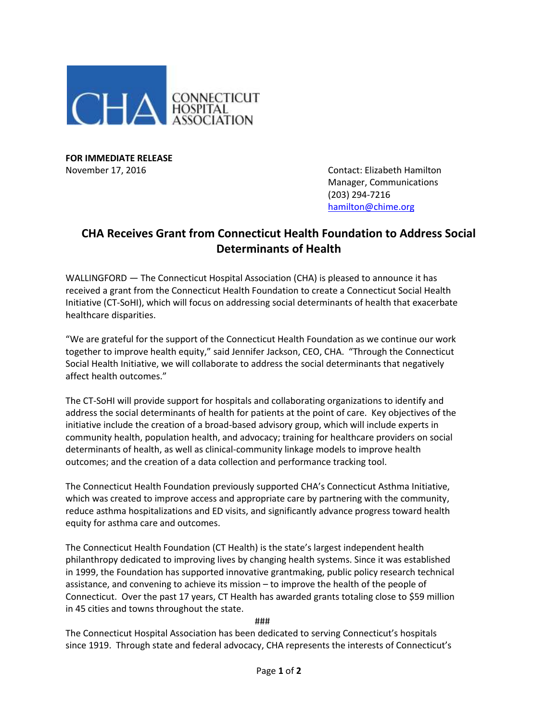

**FOR IMMEDIATE RELEASE**

November 17, 2016 Contact: Elizabeth Hamilton Manager, Communications (203) 294-7216 [hamilton@chime.org](mailto:hamilton@chime.org)

## **CHA Receives Grant from Connecticut Health Foundation to Address Social Determinants of Health**

WALLINGFORD — The Connecticut Hospital Association (CHA) is pleased to announce it has received a grant from the Connecticut Health Foundation to create a Connecticut Social Health Initiative (CT-SoHI), which will focus on addressing social determinants of health that exacerbate healthcare disparities.

"We are grateful for the support of the Connecticut Health Foundation as we continue our work together to improve health equity," said Jennifer Jackson, CEO, CHA. "Through the Connecticut Social Health Initiative, we will collaborate to address the social determinants that negatively affect health outcomes."

The CT-SoHI will provide support for hospitals and collaborating organizations to identify and address the social determinants of health for patients at the point of care. Key objectives of the initiative include the creation of a broad-based advisory group, which will include experts in community health, population health, and advocacy; training for healthcare providers on social determinants of health, as well as clinical-community linkage models to improve health outcomes; and the creation of a data collection and performance tracking tool.

The Connecticut Health Foundation previously supported CHA's Connecticut Asthma Initiative, which was created to improve access and appropriate care by partnering with the community, reduce asthma hospitalizations and ED visits, and significantly advance progress toward health equity for asthma care and outcomes.

The Connecticut Health Foundation (CT Health) is the state's largest independent health philanthropy dedicated to improving lives by changing health systems. Since it was established in 1999, the Foundation has supported innovative grantmaking, public policy research technical assistance, and convening to achieve its mission – to improve the health of the people of Connecticut. Over the past 17 years, CT Health has awarded grants totaling close to \$59 million in 45 cities and towns throughout the state.

###

The Connecticut Hospital Association has been dedicated to serving Connecticut's hospitals since 1919. Through state and federal advocacy, CHA represents the interests of Connecticut's